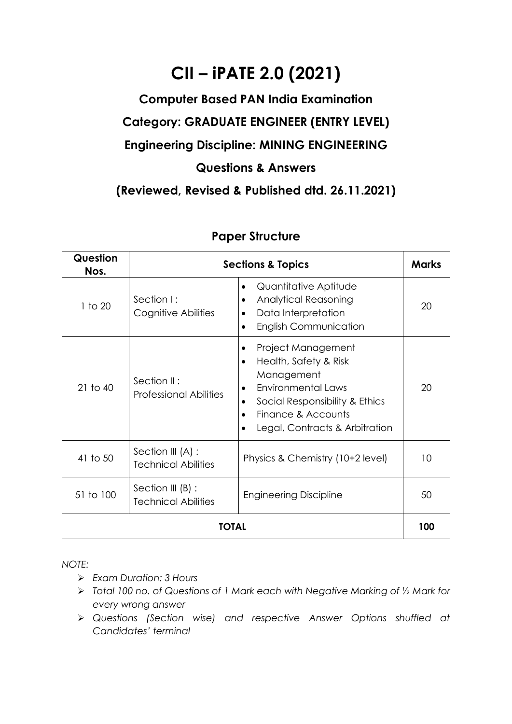# **CII – iPATE 2.0 (2021)**

## **Computer Based PAN India Examination Category: GRADUATE ENGINEER (ENTRY LEVEL)**

### **Engineering Discipline: MINING ENGINEERING**

#### **Questions & Answers**

**(Reviewed, Revised & Published dtd. 26.11.2021)**

| Question<br>Nos. | <b>Sections &amp; Topics</b>                    |                                                                                                                                                                                                            |    |  |
|------------------|-------------------------------------------------|------------------------------------------------------------------------------------------------------------------------------------------------------------------------------------------------------------|----|--|
| 1 to 20          | Section I:<br>Cognitive Abilities               | Quantitative Aptitude<br>$\bullet$<br><b>Analytical Reasoning</b><br>٠<br>Data Interpretation<br><b>English Communication</b>                                                                              | 20 |  |
| $21$ to $40$     | Section II:<br><b>Professional Abilities</b>    | Project Management<br>Health, Safety & Risk<br>$\bullet$<br>Management<br><b>Environmental Laws</b><br>$\bullet$<br>Social Responsibility & Ethics<br>Finance & Accounts<br>Legal, Contracts & Arbitration | 20 |  |
| 41 to 50         | Section III (A) :<br><b>Technical Abilities</b> | Physics & Chemistry (10+2 level)                                                                                                                                                                           | 10 |  |
| 51 to 100        | Section III (B) :<br><b>Technical Abilities</b> | <b>Engineering Discipline</b>                                                                                                                                                                              | 50 |  |
| TOTAL            |                                                 |                                                                                                                                                                                                            |    |  |

#### **Paper Structure**

*NOTE:*

- ➢ *Exam Duration: 3 Hours*
- ➢ *Total 100 no. of Questions of 1 Mark each with Negative Marking of ½ Mark for every wrong answer*
- ➢ *Questions (Section wise) and respective Answer Options shuffled at Candidates' terminal*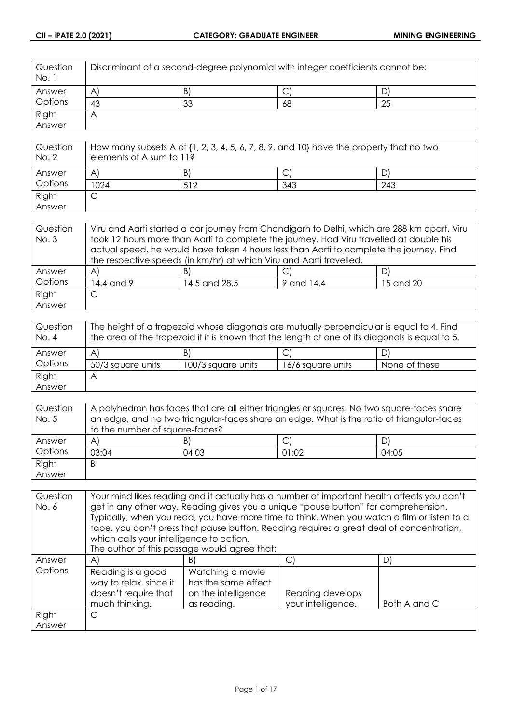| Question<br>No. 1 | Discriminant of a second-degree polynomial with integer coefficients cannot be: |    |    |    |
|-------------------|---------------------------------------------------------------------------------|----|----|----|
| Answer            | $\mathsf{A}$                                                                    | B) | ◡  |    |
| Options           | 43                                                                              | 33 | 68 | 25 |
| Right             | $\forall$                                                                       |    |    |    |
| Answer            |                                                                                 |    |    |    |

| Question<br>No. 2 | How many subsets A of $\{1, 2, 3, 4, 5, 6, 7, 8, 9,$ and $10\}$ have the property that no two<br>elements of A sum to 11? |     |     |     |
|-------------------|---------------------------------------------------------------------------------------------------------------------------|-----|-----|-----|
| Answer            | A                                                                                                                         | B)  |     |     |
| Options           | 1024                                                                                                                      | 512 | 343 | 243 |
| Right             | ◡                                                                                                                         |     |     |     |
| Answer            |                                                                                                                           |     |     |     |

| Question | Viru and Aarti started a car journey from Chandigarh to Delhi, which are 288 km apart. Viru |                                                                                         |  |    |  |
|----------|---------------------------------------------------------------------------------------------|-----------------------------------------------------------------------------------------|--|----|--|
| No. 3    | took 12 hours more than Aarti to complete the journey. Had Viru travelled at double his     |                                                                                         |  |    |  |
|          |                                                                                             | actual speed, he would have taken 4 hours less than Aarti to complete the journey. Find |  |    |  |
|          | the respective speeds (in km/hr) at which Viru and Aarti travelled.                         |                                                                                         |  |    |  |
| Answer   | $\mathsf{A}^{\prime}$                                                                       | B)                                                                                      |  | D) |  |
| Options  | 14.4 and 9<br>14.5 and 28.5<br>9 and 14.4<br>15 and 20                                      |                                                                                         |  |    |  |
| Right    |                                                                                             |                                                                                         |  |    |  |
| Answer   |                                                                                             |                                                                                         |  |    |  |

| Question<br>No. 4 | The height of a trapezoid whose diagonals are mutually perpendicular is equal to 4. Find<br>the area of the trapezoid if it is known that the length of one of its diagonals is equal to 5. |                    |                   |               |  |
|-------------------|---------------------------------------------------------------------------------------------------------------------------------------------------------------------------------------------|--------------------|-------------------|---------------|--|
| Answer            | A<br>D.<br>BI<br>◡                                                                                                                                                                          |                    |                   |               |  |
| Options           | 50/3 square units                                                                                                                                                                           | 100/3 square units | 16/6 square units | None of these |  |
| Right             | ۳                                                                                                                                                                                           |                    |                   |               |  |
| Answer            |                                                                                                                                                                                             |                    |                   |               |  |

| Question | A polyhedron has faces that are all either triangles or squares. No two square-faces share |       |       |       |
|----------|--------------------------------------------------------------------------------------------|-------|-------|-------|
| No. 5    | an edge, and no two triangular-faces share an edge. What is the ratio of triangular-faces  |       |       |       |
|          | to the number of square-faces?                                                             |       |       |       |
| Answer   | $\mathsf{A}$                                                                               | B)    | ◡     | D)    |
| Options  | 03:04                                                                                      | 04:03 | 01:02 | 04:05 |
| Right    | B                                                                                          |       |       |       |
| Answer   |                                                                                            |       |       |       |

| Question | Your mind likes reading and it actually has a number of important health affects you can't |                                                                                             |                    |              |
|----------|--------------------------------------------------------------------------------------------|---------------------------------------------------------------------------------------------|--------------------|--------------|
| No. 6    | get in any other way. Reading gives you a unique "pause button" for comprehension.         |                                                                                             |                    |              |
|          |                                                                                            | Typically, when you read, you have more time to think. When you watch a film or listen to a |                    |              |
|          |                                                                                            | tape, you don't press that pause button. Reading requires a great deal of concentration,    |                    |              |
|          | which calls your intelligence to action.                                                   |                                                                                             |                    |              |
|          |                                                                                            | The author of this passage would agree that:                                                |                    |              |
| Answer   | $\mathsf{A}$                                                                               | B)                                                                                          | C)                 | D)           |
| Options  | Reading is a good                                                                          | Watching a movie                                                                            |                    |              |
|          | way to relax, since it                                                                     | has the same effect                                                                         |                    |              |
|          | doesn't require that                                                                       | on the intelligence                                                                         | Reading develops   |              |
|          | much thinking.                                                                             | as reading.                                                                                 | your intelligence. | Both A and C |
| Right    | C                                                                                          |                                                                                             |                    |              |
| Answer   |                                                                                            |                                                                                             |                    |              |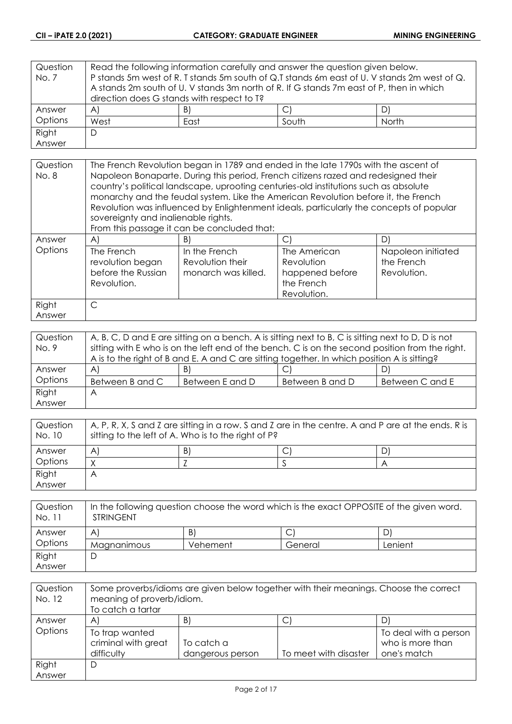| Question | Read the following information carefully and answer the question given below. |                                                                                             |  |    |  |
|----------|-------------------------------------------------------------------------------|---------------------------------------------------------------------------------------------|--|----|--|
| No. 7    |                                                                               | P stands 5m west of R. T stands 5m south of Q.T stands 6m east of U. V stands 2m west of Q. |  |    |  |
|          |                                                                               | A stands 2m south of U. V stands 3m north of R. If G stands 7m east of P, then in which     |  |    |  |
|          | direction does G stands with respect to T?                                    |                                                                                             |  |    |  |
| Answer   | $\mathsf{A}$                                                                  | B)                                                                                          |  | DI |  |
| Options  | West<br>South<br>North<br>East                                                |                                                                                             |  |    |  |
| Right    | D                                                                             |                                                                                             |  |    |  |
| Answer   |                                                                               |                                                                                             |  |    |  |

| Question<br>No. 8 | The French Revolution began in 1789 and ended in the late 1790s with the ascent of<br>Napoleon Bonaparte. During this period, French citizens razed and redesigned their<br>country's political landscape, uprooting centuries-old institutions such as absolute<br>monarchy and the feudal system. Like the American Revolution before it, the French<br>Revolution was influenced by Enlightenment ideals, particularly the concepts of popular<br>sovereignty and inalienable rights. |                                                          |                                                                            |                                                 |
|-------------------|------------------------------------------------------------------------------------------------------------------------------------------------------------------------------------------------------------------------------------------------------------------------------------------------------------------------------------------------------------------------------------------------------------------------------------------------------------------------------------------|----------------------------------------------------------|----------------------------------------------------------------------------|-------------------------------------------------|
|                   | From this passage it can be concluded that:                                                                                                                                                                                                                                                                                                                                                                                                                                              |                                                          |                                                                            |                                                 |
| Answer            | $\mathsf{A}$                                                                                                                                                                                                                                                                                                                                                                                                                                                                             | B)                                                       |                                                                            | D)                                              |
| Options           | The French<br>revolution began<br>before the Russian<br>Revolution.                                                                                                                                                                                                                                                                                                                                                                                                                      | In the French<br>Revolution their<br>monarch was killed. | The American<br>Revolution<br>happened before<br>the French<br>Revolution. | Napoleon initiated<br>the French<br>Revolution. |
| Right             | C                                                                                                                                                                                                                                                                                                                                                                                                                                                                                        |                                                          |                                                                            |                                                 |
| Answer            |                                                                                                                                                                                                                                                                                                                                                                                                                                                                                          |                                                          |                                                                            |                                                 |

| Question | A, B, C, D and E are sitting on a bench. A is sitting next to B, C is sitting next to D, D is not |                 |                 |                 |
|----------|---------------------------------------------------------------------------------------------------|-----------------|-----------------|-----------------|
| No. 9    | sitting with E who is on the left end of the bench. C is on the second position from the right.   |                 |                 |                 |
|          | A is to the right of B and E. A and C are sitting together. In which position A is sitting?       |                 |                 |                 |
| Answer   | $\mathsf{A}$                                                                                      | B)              | ◡               | D)              |
| Options  | Between B and C                                                                                   | Between E and D | Between B and D | Between C and E |
| Right    | A                                                                                                 |                 |                 |                 |
| Answer   |                                                                                                   |                 |                 |                 |

| Question<br>No. 10 | A, P, R, X, S and Z are sitting in a row. S and Z are in the centre. A and P are at the ends. R is<br>sitting to the left of A. Who is to the right of P? |  |  |  |  |
|--------------------|-----------------------------------------------------------------------------------------------------------------------------------------------------------|--|--|--|--|
| Answer             | B)<br>D<br>A                                                                                                                                              |  |  |  |  |
| Options            |                                                                                                                                                           |  |  |  |  |
| Right              | Α                                                                                                                                                         |  |  |  |  |
| Answer             |                                                                                                                                                           |  |  |  |  |

| Question<br>No. 11 | In the following question choose the word which is the exact OPPOSITE of the given word.<br><b>STRINGENT</b> |          |         |         |
|--------------------|--------------------------------------------------------------------------------------------------------------|----------|---------|---------|
| Answer             | A                                                                                                            | B)       |         |         |
| Options            | Magnanimous                                                                                                  | Vehement | General | Lenient |
| Right              |                                                                                                              |          |         |         |
| Answer             |                                                                                                              |          |         |         |

| Question<br>No. 12 | Some proverbs/idioms are given below together with their meanings. Choose the correct<br>meaning of proverb/idiom.<br>To catch a tartar |                                |                       |                                                          |
|--------------------|-----------------------------------------------------------------------------------------------------------------------------------------|--------------------------------|-----------------------|----------------------------------------------------------|
| Answer             | A'                                                                                                                                      | B)                             | ◡                     |                                                          |
| Options            | To trap wanted<br>criminal with great<br>difficulty                                                                                     | To catch a<br>dangerous person | To meet with disaster | To deal with a person<br>who is more than<br>one's match |
| Right              | D                                                                                                                                       |                                |                       |                                                          |
| Answer             |                                                                                                                                         |                                |                       |                                                          |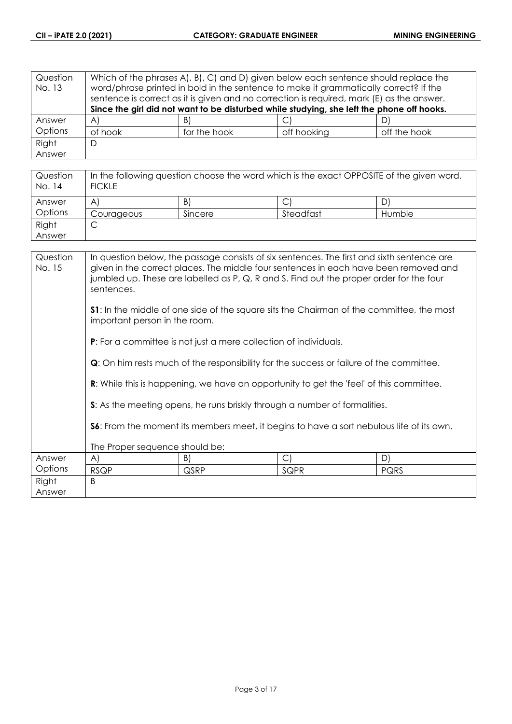| Question<br>No. 13 | Which of the phrases A, B, C, and D, given below each sentence should replace the<br>word/phrase printed in bold in the sentence to make it grammatically correct? If the<br>sentence is correct as it is given and no correction is required, mark (E) as the answer.<br>Since the girl did not want to be disturbed while studying, she left the phone off hooks. |              |             |              |
|--------------------|---------------------------------------------------------------------------------------------------------------------------------------------------------------------------------------------------------------------------------------------------------------------------------------------------------------------------------------------------------------------|--------------|-------------|--------------|
| Answer             | A)                                                                                                                                                                                                                                                                                                                                                                  | B)           |             |              |
| Options            | of hook                                                                                                                                                                                                                                                                                                                                                             | for the hook | off hooking | off the hook |
| Right              | D                                                                                                                                                                                                                                                                                                                                                                   |              |             |              |
| Answer             |                                                                                                                                                                                                                                                                                                                                                                     |              |             |              |
|                    |                                                                                                                                                                                                                                                                                                                                                                     |              |             |              |
| Question<br>No. 14 | In the following question choose the word which is the exact OPPOSITE of the given word.<br><b>FICKLE</b>                                                                                                                                                                                                                                                           |              |             |              |

| . <del>.</del> | 1911-L     |         |                               |        |
|----------------|------------|---------|-------------------------------|--------|
| Answer         | А          | B)      | $\overline{\phantom{0}}$<br>◡ | ◡      |
| Options        | Courageous | Sincere | Steadfast                     | Humble |
| Right          | ◡          |         |                               |        |
| Answer         |            |         |                               |        |

| Question<br>No. 15 | In question below, the passage consists of six sentences. The first and sixth sentence are<br>given in the correct places. The middle four sentences in each have been removed and<br>jumbled up. These are labelled as P, Q, R and S. Find out the proper order for the four<br>sentences. |                                                                         |                                                                                                |             |  |
|--------------------|---------------------------------------------------------------------------------------------------------------------------------------------------------------------------------------------------------------------------------------------------------------------------------------------|-------------------------------------------------------------------------|------------------------------------------------------------------------------------------------|-------------|--|
|                    | <b>S1:</b> In the middle of one side of the square sits the Chairman of the committee, the most<br>important person in the room.                                                                                                                                                            |                                                                         |                                                                                                |             |  |
|                    |                                                                                                                                                                                                                                                                                             | <b>P:</b> For a committee is not just a mere collection of individuals. |                                                                                                |             |  |
|                    | <b>Q</b> : On him rests much of the responsibility for the success or failure of the committee.                                                                                                                                                                                             |                                                                         |                                                                                                |             |  |
|                    |                                                                                                                                                                                                                                                                                             |                                                                         | <b>R:</b> While this is happening, we have an opportunity to get the 'feel' of this committee. |             |  |
|                    |                                                                                                                                                                                                                                                                                             |                                                                         | S: As the meeting opens, he runs briskly through a number of formalities.                      |             |  |
|                    | S6: From the moment its members meet, it begins to have a sort nebulous life of its own.                                                                                                                                                                                                    |                                                                         |                                                                                                |             |  |
|                    | The Proper sequence should be:                                                                                                                                                                                                                                                              |                                                                         |                                                                                                |             |  |
| Answer             | $\mathsf{A}$                                                                                                                                                                                                                                                                                | B)                                                                      | $\vert$ C                                                                                      | D)          |  |
| Options            | <b>RSQP</b>                                                                                                                                                                                                                                                                                 | QSRP                                                                    | SQPR                                                                                           | <b>PQRS</b> |  |
| Right              | B                                                                                                                                                                                                                                                                                           |                                                                         |                                                                                                |             |  |
| Answer             |                                                                                                                                                                                                                                                                                             |                                                                         |                                                                                                |             |  |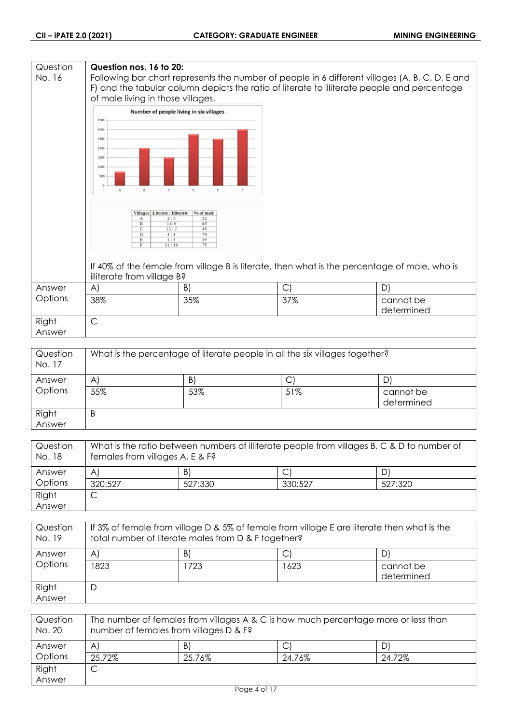#### **Question Question nos. 16 to 20:** No. 16 Following bar chart represents the number of people in 6 different villages (A, B, C, D, E and F) and the tabular column depicts the ratio of literate to illiterate people and percentage of male living in those villages. Number of people living in six villages 3500 3000 2500 2000 1500  $1000$ 50 Villages | Literate : Illiterate | % of male Ť  $\frac{1}{13}$  $\overline{11}$ If 40% of the female from village B is literate, then what is the percentage of male, who is illiterate from village B? Answer A)  $|B|$   $|C|$   $|D|$ **Options** 38% 35% 37% cannot be determined Right C Answer

| Question<br>No. 17 | What is the percentage of literate people in all the six villages together? |     |     |                         |
|--------------------|-----------------------------------------------------------------------------|-----|-----|-------------------------|
| Answer             | A                                                                           | B   | С   |                         |
| Options            | 55%                                                                         | 53% | 51% | cannot be<br>determined |
| Right<br>Answer    | B                                                                           |     |     |                         |

| Question<br>No. 18 | What is the ratio between numbers of illiterate people from villages B, C & D to number of<br>females from villages A, E & F? |         |         |         |
|--------------------|-------------------------------------------------------------------------------------------------------------------------------|---------|---------|---------|
| Answer             | A                                                                                                                             | B)      |         | D)      |
| Options            | 320:527                                                                                                                       | 527:330 | 330:527 | 527:320 |
| Right              | ◡                                                                                                                             |         |         |         |
| Answer             |                                                                                                                               |         |         |         |

| Question<br>No. 19 | If 3% of female from village D & 5% of female from village E are literate then what is the<br>total number of literate males from D & F together? |      |      |                         |
|--------------------|---------------------------------------------------------------------------------------------------------------------------------------------------|------|------|-------------------------|
| Answer             | A                                                                                                                                                 | B)   |      | D)                      |
| Options            | 1823                                                                                                                                              | 1723 | 1623 | cannot be<br>determined |
| Right<br>Answer    | D                                                                                                                                                 |      |      |                         |

| Question<br>No. 20 | The number of females from villages A & C is how much percentage more or less than<br>number of females from villages D & F? |        |        |        |
|--------------------|------------------------------------------------------------------------------------------------------------------------------|--------|--------|--------|
| Answer             | A                                                                                                                            | B)     | ◡      | D.     |
| Options            | 25.72%                                                                                                                       | 25.76% | 24.76% | 24.72% |
| Right              |                                                                                                                              |        |        |        |
| Answer             |                                                                                                                              |        |        |        |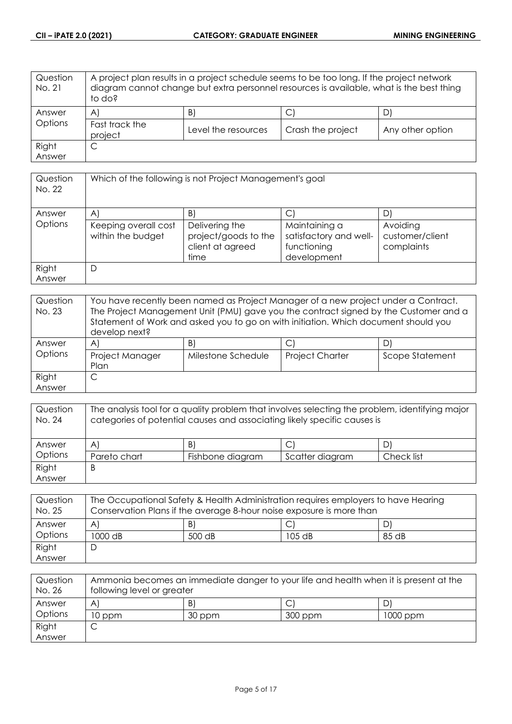| Question<br>No. 21 | A project plan results in a project schedule seems to be too long. If the project network<br>diagram cannot change but extra personnel resources is available, what is the best thing<br>to do? |                     |                   |                  |
|--------------------|-------------------------------------------------------------------------------------------------------------------------------------------------------------------------------------------------|---------------------|-------------------|------------------|
| Answer             | $\mathsf{A}$                                                                                                                                                                                    | $\vert B \vert$     | С                 |                  |
| Options            | Fast track the<br>project                                                                                                                                                                       | Level the resources | Crash the project | Any other option |
| Right              | С                                                                                                                                                                                               |                     |                   |                  |
| Answer             |                                                                                                                                                                                                 |                     |                   |                  |

| Question<br>No. 22 | Which of the following is not Project Management's goal |                                                                    |                                                                       |                                           |
|--------------------|---------------------------------------------------------|--------------------------------------------------------------------|-----------------------------------------------------------------------|-------------------------------------------|
| Answer             | $\mathsf{A}$                                            | B)                                                                 | C                                                                     |                                           |
| Options            | Keeping overall cost<br>within the budget               | Delivering the<br>project/goods to the<br>client at agreed<br>time | Maintaining a<br>satisfactory and well-<br>functioning<br>development | Avoiding<br>customer/client<br>complaints |
| Right<br>Answer    | D                                                       |                                                                    |                                                                       |                                           |

| Question<br>No. 23 | You have recently been named as Project Manager of a new project under a Contract.<br>The Project Management Unit (PMU) gave you the contract signed by the Customer and a<br>Statement of Work and asked you to go on with initiation. Which document should you<br>develop next? |                    |                        |                 |
|--------------------|------------------------------------------------------------------------------------------------------------------------------------------------------------------------------------------------------------------------------------------------------------------------------------|--------------------|------------------------|-----------------|
| Answer             | A                                                                                                                                                                                                                                                                                  | B)                 | C                      | D               |
| Options            | Project Manager<br>Plan                                                                                                                                                                                                                                                            | Milestone Schedule | <b>Project Charter</b> | Scope Statement |
| Right              |                                                                                                                                                                                                                                                                                    |                    |                        |                 |
| Answer             |                                                                                                                                                                                                                                                                                    |                    |                        |                 |

| Question<br>No. 24 | The analysis tool for a quality problem that involves selecting the problem, identifying major<br>categories of potential causes and associating likely specific causes is |                  |                 |            |
|--------------------|----------------------------------------------------------------------------------------------------------------------------------------------------------------------------|------------------|-----------------|------------|
| Answer             | $\mathsf{A}$                                                                                                                                                               | B)               |                 |            |
| Options            | Pareto chart                                                                                                                                                               | Fishbone diagram | Scatter diagram | Check list |
| Right              | B                                                                                                                                                                          |                  |                 |            |
| Answer             |                                                                                                                                                                            |                  |                 |            |

| Question<br>No. 25 | The Occupational Safety & Health Administration requires employers to have Hearing<br>Conservation Plans if the average 8-hour noise exposure is more than |        |          |       |
|--------------------|------------------------------------------------------------------------------------------------------------------------------------------------------------|--------|----------|-------|
| Answer             | A                                                                                                                                                          | B)     |          |       |
| Options            | 1000 dB                                                                                                                                                    | 500 dB | $105$ dB | 85 dB |
| Right              |                                                                                                                                                            |        |          |       |
| Answer             |                                                                                                                                                            |        |          |       |

| Question<br>No. 26 | Ammonia becomes an immediate danger to your life and health when it is present at the<br>following level or greater |        |         |          |
|--------------------|---------------------------------------------------------------------------------------------------------------------|--------|---------|----------|
| Answer             | A                                                                                                                   | B.     |         |          |
| Options            | 10 ppm                                                                                                              | 30 ppm | 300 ppm | 1000 ppm |
| Right              |                                                                                                                     |        |         |          |
| Answer             |                                                                                                                     |        |         |          |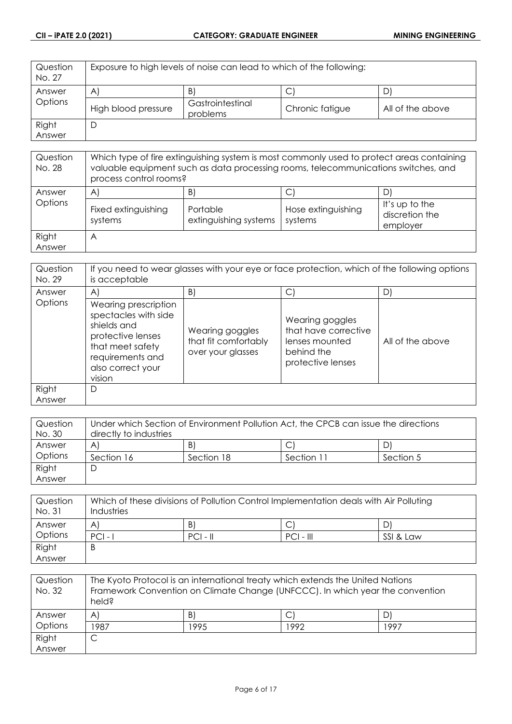| Question<br>No. 27 | Exposure to high levels of noise can lead to which of the following: |                              |                 |                  |
|--------------------|----------------------------------------------------------------------|------------------------------|-----------------|------------------|
| Answer             | A                                                                    | B                            |                 |                  |
| Options            | High blood pressure                                                  | Gastrointestinal<br>problems | Chronic fatigue | All of the above |
| Right              | D                                                                    |                              |                 |                  |
| Answer             |                                                                      |                              |                 |                  |

| Question<br>No. 28 | Which type of fire extinguishing system is most commonly used to protect areas containing<br>valuable equipment such as data processing rooms, telecommunications switches, and<br>process control rooms? |                                         |                               |                                              |
|--------------------|-----------------------------------------------------------------------------------------------------------------------------------------------------------------------------------------------------------|-----------------------------------------|-------------------------------|----------------------------------------------|
| Answer<br>Options  | $\mathsf{A}$<br>Fixed extinguishing<br>systems                                                                                                                                                            | B'<br>Portable<br>extinguishing systems | Hose extinguishing<br>systems | It's up to the<br>discretion the<br>employer |
| Right<br>Answer    | A                                                                                                                                                                                                         |                                         |                               |                                              |

| Question<br>No. 29 | If you need to wear glasses with your eye or face protection, which of the following options<br>is acceptable                                           |                                                              |                                                                                              |                  |
|--------------------|---------------------------------------------------------------------------------------------------------------------------------------------------------|--------------------------------------------------------------|----------------------------------------------------------------------------------------------|------------------|
| Answer             | $\mathsf{A}$                                                                                                                                            | B)                                                           | С                                                                                            | D)               |
| Options            | Wearing prescription<br>spectacles with side<br>shields and<br>protective lenses<br>that meet safety<br>requirements and<br>also correct your<br>vision | Wearing goggles<br>that fit comfortably<br>over your glasses | Wearing goggles<br>that have corrective<br>lenses mounted<br>behind the<br>protective lenses | All of the above |
| Right<br>Answer    | D                                                                                                                                                       |                                                              |                                                                                              |                  |

| Question | Under which Section of Environment Pollution Act, the CPCB can issue the directions |            |            |           |
|----------|-------------------------------------------------------------------------------------|------------|------------|-----------|
| No. 30   | directly to industries                                                              |            |            |           |
| Answer   | A                                                                                   | B)         |            | DI        |
| Options  | Section 16                                                                          | Section 18 | Section 11 | Section 5 |
| Right    | C                                                                                   |            |            |           |
| Answer   |                                                                                     |            |            |           |

| Question<br>No. 31 | Which of these divisions of Pollution Control Implementation deals with Air Polluting<br>Industries |            |             |           |
|--------------------|-----------------------------------------------------------------------------------------------------|------------|-------------|-----------|
| Answer             | A                                                                                                   | B)         |             |           |
| Options            | $PCI -$                                                                                             | $PCI - II$ | $PCI - III$ | SSI & Law |
| Right              | B                                                                                                   |            |             |           |
| Answer             |                                                                                                     |            |             |           |

| Question<br>No. 32 | The Kyoto Protocol is an international treaty which extends the United Nations<br>Framework Convention on Climate Change (UNFCCC). In which year the convention<br>held? |      |      |      |  |
|--------------------|--------------------------------------------------------------------------------------------------------------------------------------------------------------------------|------|------|------|--|
| Answer             | $\mathsf{A}^{\mathsf{c}}$                                                                                                                                                | B)   |      |      |  |
| Options            | 1987                                                                                                                                                                     | 1995 | 1992 | 1997 |  |
| Right              | C                                                                                                                                                                        |      |      |      |  |
| Answer             |                                                                                                                                                                          |      |      |      |  |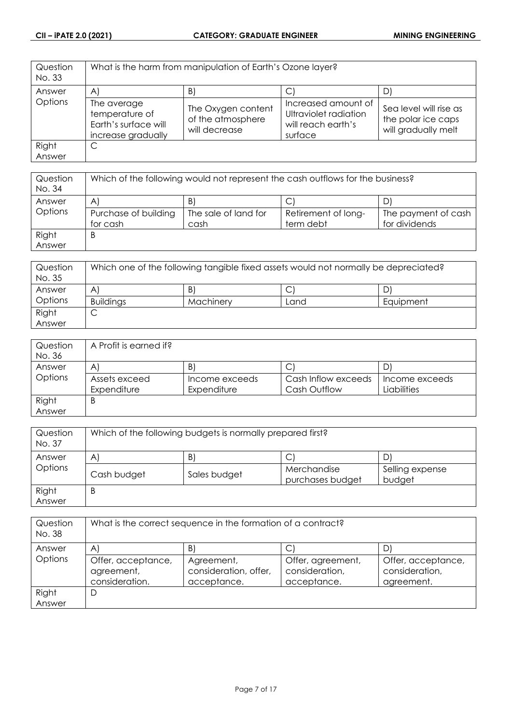| Question<br>No. 33 | What is the harm from manipulation of Earth's Ozone layer?                  |                                                          |                                                                               |                                                                     |
|--------------------|-----------------------------------------------------------------------------|----------------------------------------------------------|-------------------------------------------------------------------------------|---------------------------------------------------------------------|
| Answer             | $\mathsf{A}^{\mathsf{c}}$                                                   | B                                                        |                                                                               | D                                                                   |
| Options            | The average<br>temperature of<br>Earth's surface will<br>increase gradually | The Oxygen content<br>of the atmosphere<br>will decrease | Increased amount of<br>Ultraviolet radiation<br>will reach earth's<br>surface | Sea level will rise as<br>the polar ice caps<br>will gradually melt |
| Right              | C                                                                           |                                                          |                                                                               |                                                                     |
| Answer             |                                                                             |                                                          |                                                                               |                                                                     |

| Question<br>No. 34 | Which of the following would not represent the cash outflows for the business? |                      |                     |                     |
|--------------------|--------------------------------------------------------------------------------|----------------------|---------------------|---------------------|
| Answer             | $\mathsf{A}^{\prime}$                                                          | B.                   |                     |                     |
| Options            | Purchase of building                                                           | The sale of land for | Retirement of long- | The payment of cash |
|                    | for cash                                                                       | cash                 | term debt           | for dividends       |
| Right              | B                                                                              |                      |                     |                     |
| Answer             |                                                                                |                      |                     |                     |

| Question<br>No. 35 | Which one of the following tangible fixed assets would not normally be depreciated? |           |      |           |
|--------------------|-------------------------------------------------------------------------------------|-----------|------|-----------|
| Answer             | A                                                                                   | B         | ◡    | D'        |
| Options            | <b>Buildings</b>                                                                    | Machinery | Land | Equipment |
| Right              | ◡                                                                                   |           |      |           |
| Answer             |                                                                                     |           |      |           |

| Question | A Profit is earned if? |                |                     |                |
|----------|------------------------|----------------|---------------------|----------------|
| No. 36   |                        |                |                     |                |
| Answer   | A                      | B.             | ◡                   |                |
| Options  | Assets exceed          | Income exceeds | Cash Inflow exceeds | Income exceeds |
|          | Expenditure            | Expenditure    | Cash Outflow        | Liabilities    |
| Right    | B                      |                |                     |                |
| Answer   |                        |                |                     |                |

| Question<br>No. 37 | Which of the following budgets is normally prepared first? |              |                                 |                           |
|--------------------|------------------------------------------------------------|--------------|---------------------------------|---------------------------|
| Answer             | A                                                          | B.           |                                 | D                         |
| Options            | Cash budget                                                | Sales budget | Merchandise<br>purchases budget | Selling expense<br>budget |
| Right<br>Answer    | B                                                          |              |                                 |                           |

| Question<br>No. 38 | What is the correct sequence in the formation of a contract? |                                                    |                                                    |                                                    |
|--------------------|--------------------------------------------------------------|----------------------------------------------------|----------------------------------------------------|----------------------------------------------------|
| Answer             | $\mathsf{A}^{\prime}$                                        | B'                                                 |                                                    | D                                                  |
| Options            | Offer, acceptance,<br>agreement,<br>consideration.           | Agreement,<br>consideration, offer,<br>acceptance. | Offer, agreement,<br>consideration,<br>acceptance. | Offer, acceptance,<br>consideration,<br>agreement. |
| Right              | D                                                            |                                                    |                                                    |                                                    |
| Answer             |                                                              |                                                    |                                                    |                                                    |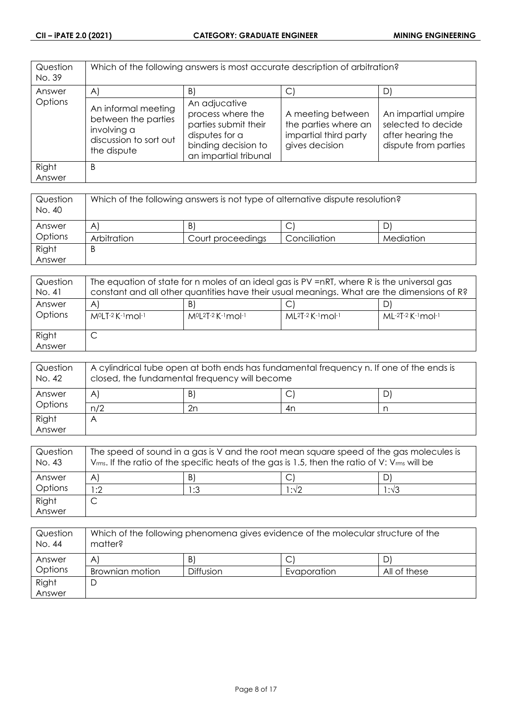| Question<br>No. 39 | Which of the following answers is most accurate description of arbitration?                        |                                                                                                                              |                                                                                      |                                                                                        |
|--------------------|----------------------------------------------------------------------------------------------------|------------------------------------------------------------------------------------------------------------------------------|--------------------------------------------------------------------------------------|----------------------------------------------------------------------------------------|
| Answer             | $\mathsf{A}$                                                                                       | $\vert B \vert$                                                                                                              | C.                                                                                   | D)                                                                                     |
| Options            | An informal meeting<br>between the parties<br>involving a<br>discussion to sort out<br>the dispute | An adjucative<br>process where the<br>parties submit their<br>disputes for a<br>binding decision to<br>an impartial tribunal | A meeting between<br>the parties where an<br>impartial third party<br>gives decision | An impartial umpire<br>selected to decide<br>after hearing the<br>dispute from parties |
| Right<br>Answer    | B                                                                                                  |                                                                                                                              |                                                                                      |                                                                                        |

| Question<br>No. 40 | Which of the following answers is not type of alternative dispute resolution? |                   |              |           |
|--------------------|-------------------------------------------------------------------------------|-------------------|--------------|-----------|
| Answer             | A'                                                                            | B)                | ◡            |           |
| Options            | Arbitration                                                                   | Court proceedings | Conciliation | Mediation |
| Right              | B                                                                             |                   |              |           |
| Answer             |                                                                               |                   |              |           |

| Question<br>No. 41 | The equation of state for n moles of an ideal gas is PV =nRT, where R is the universal gas<br>constant and all other quantities have their usual meanings. What are the dimensions of R? |                                  |                             |                     |
|--------------------|------------------------------------------------------------------------------------------------------------------------------------------------------------------------------------------|----------------------------------|-----------------------------|---------------------|
| Answer<br>Options  | A<br>M <sup>o</sup> LT-2 K-1mol-1                                                                                                                                                        | B<br>$M^{0}[2T-2K^{-1}mol^{-1}]$ | $ML^{2}T-2$ K $-1$ mol $-1$ | $ML-2T-2$ K-1 mol-1 |
| Right<br>Answer    | ◡                                                                                                                                                                                        |                                  |                             |                     |

| Question<br>No. 42 | A cylindrical tube open at both ends has fundamental frequency n. If one of the ends is<br>closed, the fundamental frequency will become |    |               |    |
|--------------------|------------------------------------------------------------------------------------------------------------------------------------------|----|---------------|----|
| Answer             | A                                                                                                                                        | B) | $\mathcal{L}$ | D' |
| Options            | n/2                                                                                                                                      | 2n | 4n            |    |
| Right              |                                                                                                                                          |    |               |    |
| Answer             |                                                                                                                                          |    |               |    |

| Question<br>No. 43 | The speed of sound in a gas is V and the root mean square speed of the gas molecules is<br>$V_{rms}$ . If the ratio of the specific heats of the gas is 1.5, then the ratio of V: $V_{rms}$ will be |     |      |      |
|--------------------|-----------------------------------------------------------------------------------------------------------------------------------------------------------------------------------------------------|-----|------|------|
| Answer             | $\mathsf{A}$                                                                                                                                                                                        | B)  |      |      |
| Options            | 1:2                                                                                                                                                                                                 | 1:3 | l∶√2 | 1:√3 |
| Right              | ◡                                                                                                                                                                                                   |     |      |      |
| Answer             |                                                                                                                                                                                                     |     |      |      |

| Question<br>No. 44 | Which of the following phenomena gives evidence of the molecular structure of the<br>matter? |                  |             |              |
|--------------------|----------------------------------------------------------------------------------------------|------------------|-------------|--------------|
| Answer             | A                                                                                            | B)               | Ċ           |              |
| Options            | Brownian motion                                                                              | <b>Diffusion</b> | Evaporation | All of these |
| Right              |                                                                                              |                  |             |              |
| Answer             |                                                                                              |                  |             |              |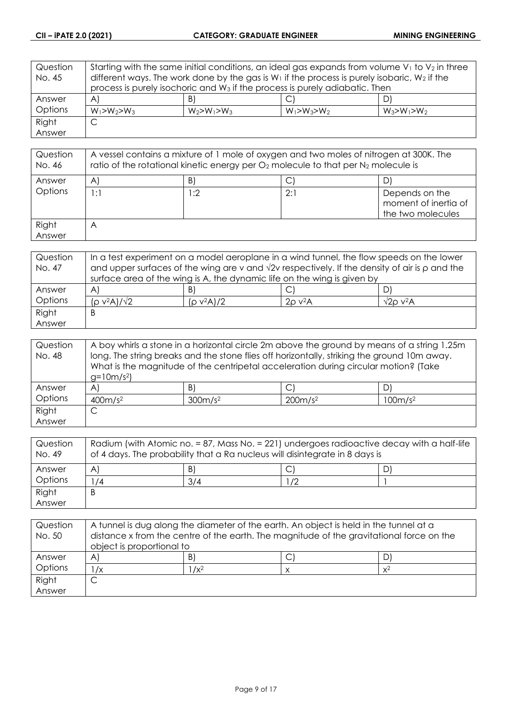| Question | Starting with the same initial conditions, an ideal gas expands from volume $V_1$ to $V_2$ in three |                   |                   |                   |
|----------|-----------------------------------------------------------------------------------------------------|-------------------|-------------------|-------------------|
| No. 45   | different ways. The work done by the gas is $W_1$ if the process is purely isobaric, $W_2$ if the   |                   |                   |                   |
|          | process is purely isochoric and W <sub>3</sub> if the process is purely adiabatic. Then             |                   |                   |                   |
| Answer   | $\mathsf{A}$                                                                                        | B)                |                   | DI                |
| Options  | $W_1 > W_2 > W_3$                                                                                   | $W_2 > W_1 > W_3$ | $W_1 > W_3 > W_2$ | $W_3 > W_1 > W_2$ |
| Right    | С                                                                                                   |                   |                   |                   |
| Answer   |                                                                                                     |                   |                   |                   |

| Question<br>No. 46 | A vessel contains a mixture of 1 mole of oxygen and two moles of nitrogen at 300K. The<br>ratio of the rotational kinetic energy per $O_2$ molecule to that per $N_2$ molecule is |     |     |                                                             |
|--------------------|-----------------------------------------------------------------------------------------------------------------------------------------------------------------------------------|-----|-----|-------------------------------------------------------------|
| Answer             | A                                                                                                                                                                                 | B)  |     |                                                             |
| Options            | 1:1                                                                                                                                                                               | l:2 | 2:1 | Depends on the<br>moment of inertia of<br>the two molecules |
| Right<br>Answer    | $\forall$                                                                                                                                                                         |     |     |                                                             |

| Question | In a test experiment on a model aeroplane in a wind tunnel, the flow speeds on the lower                   |               |                          |                     |
|----------|------------------------------------------------------------------------------------------------------------|---------------|--------------------------|---------------------|
| No. 47   | and upper surfaces of the wing are v and $\sqrt{2}v$ respectively. If the density of air is $\rho$ and the |               |                          |                     |
|          | surface area of the wing is A, the dynamic life on the wing is given by                                    |               |                          |                     |
| Answer   | A                                                                                                          | B)            |                          |                     |
| Options  | $(p v^2 A)/\sqrt{2}$                                                                                       | $(p v^2 A)/2$ | $2\rho$ v <sup>2</sup> A | $\sqrt{2}$ o v $2A$ |
| Right    | Β                                                                                                          |               |                          |                     |
| Answer   |                                                                                                            |               |                          |                     |

| Question | A boy whirls a stone in a horizontal circle 2m above the ground by means of a string 1.25m  |                 |                                                                                     |    |
|----------|---------------------------------------------------------------------------------------------|-----------------|-------------------------------------------------------------------------------------|----|
| No. 48   | long. The string breaks and the stone flies off horizontally, striking the ground 10m away. |                 |                                                                                     |    |
|          |                                                                                             |                 | What is the magnitude of the centripetal acceleration during circular motion? (Take |    |
|          | $g=10m/s^2$                                                                                 |                 |                                                                                     |    |
| Answer   | A'                                                                                          | $\vert B \vert$ | $\mathsf{C}^1$                                                                      | D. |
| Options  | 400m/s <sup>2</sup><br>300m/s <sup>2</sup><br>200m/s <sup>2</sup><br>100m/s <sup>2</sup>    |                 |                                                                                     |    |
| Right    | ◡                                                                                           |                 |                                                                                     |    |
| Answer   |                                                                                             |                 |                                                                                     |    |

| Question<br>No. 49 | Radium (with Atomic no. = 87, Mass No. = 221) undergoes radioactive decay with a half-life<br>of 4 days. The probability that a Ra nucleus will disintegrate in 8 days is |     |    |  |
|--------------------|---------------------------------------------------------------------------------------------------------------------------------------------------------------------------|-----|----|--|
| Answer             | A                                                                                                                                                                         | B   | ٮ  |  |
| Options            | $^1/4$                                                                                                                                                                    | 3/4 | 72 |  |
| Right              | B                                                                                                                                                                         |     |    |  |
| Answer             |                                                                                                                                                                           |     |    |  |

| Question<br>No. 50 | A tunnel is dug along the diameter of the earth. An object is held in the tunnel at a<br>distance x from the centre of the earth. The magnitude of the gravitational force on the<br>object is proportional to |         |  |       |
|--------------------|----------------------------------------------------------------------------------------------------------------------------------------------------------------------------------------------------------------|---------|--|-------|
| Answer             | A                                                                                                                                                                                                              | B       |  |       |
| Options            | $\sqrt{x}$                                                                                                                                                                                                     | $1/x^2$ |  | $x^2$ |
| Right              |                                                                                                                                                                                                                |         |  |       |
| Answer             |                                                                                                                                                                                                                |         |  |       |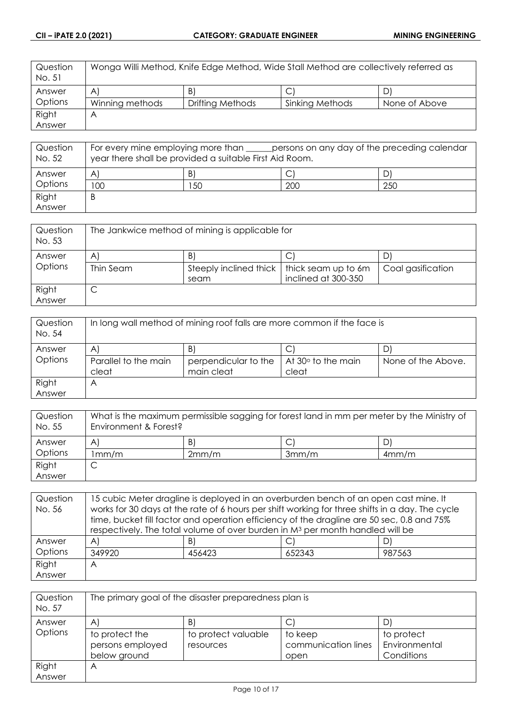| Question<br>No. 51 | Wonga Willi Method, Knife Edge Method, Wide Stall Method are collectively referred as |                         |                 |               |
|--------------------|---------------------------------------------------------------------------------------|-------------------------|-----------------|---------------|
| Answer             | A1                                                                                    | B)                      |                 | יט            |
| Options            | Winning methods                                                                       | <b>Drifting Methods</b> | Sinking Methods | None of Above |
| Right              | $\forall$                                                                             |                         |                 |               |
| Answer             |                                                                                       |                         |                 |               |

| Question<br>No. 52 | For every mine employing more than<br>persons on any day of the preceding calendar<br>year there shall be provided a suitable First Aid Room. |    |     |     |
|--------------------|-----------------------------------------------------------------------------------------------------------------------------------------------|----|-----|-----|
| Answer             | A                                                                                                                                             | B  |     |     |
| Options            | 100 <sub>1</sub>                                                                                                                              | 50 | 200 | 250 |
| Right              | B                                                                                                                                             |    |     |     |
| Answer             |                                                                                                                                               |    |     |     |

| Question<br>No. 53 | The Jankwice method of mining is applicable for |                                       |                                                 |                   |
|--------------------|-------------------------------------------------|---------------------------------------|-------------------------------------------------|-------------------|
| Answer<br>Options  | $\mathsf{A}^{\prime}$<br>Thin Seam              | B<br>Steeply inclined thick  <br>seam | C<br>thick seam up to 6m<br>inclined at 300-350 | Coal gasification |
| Right<br>Answer    |                                                 |                                       |                                                 |                   |

| Question<br>No. 54 | In long wall method of mining roof falls are more common if the face is |                      |                           |                    |
|--------------------|-------------------------------------------------------------------------|----------------------|---------------------------|--------------------|
| Answer             | $\mathsf{A}$                                                            | B)                   |                           |                    |
| Options            | Parallel to the main                                                    | perpendicular to the | At 30 $\circ$ to the main | None of the Above. |
|                    | cleat                                                                   | main cleat           | cleat                     |                    |
| Right              | Α                                                                       |                      |                           |                    |
| Answer             |                                                                         |                      |                           |                    |

| Question<br>No. 55 | What is the maximum permissible sagging for forest land in mm per meter by the Ministry of<br>Environment & Forest? |       |       |       |
|--------------------|---------------------------------------------------------------------------------------------------------------------|-------|-------|-------|
| Answer             | A                                                                                                                   | B.    |       |       |
| Options            | lmm/m                                                                                                               | 2mm/m | 3mm/m | 4mm/m |
| Right              | ◡                                                                                                                   |       |       |       |
| Answer             |                                                                                                                     |       |       |       |

| Question | 15 cubic Meter dragline is deployed in an overburden bench of an open cast mine. It             |        |                                                                                           |        |
|----------|-------------------------------------------------------------------------------------------------|--------|-------------------------------------------------------------------------------------------|--------|
| No. 56   | works for 30 days at the rate of 6 hours per shift working for three shifts in a day. The cycle |        |                                                                                           |        |
|          |                                                                                                 |        | time, bucket fill factor and operation efficiency of the dragline are 50 sec, 0.8 and 75% |        |
|          | respectively. The total volume of over burden in M <sub>3</sub> per month handled will be       |        |                                                                                           |        |
| Answer   | A <sup>1</sup>                                                                                  | B)     |                                                                                           | D)     |
| Options  | 349920                                                                                          | 456423 | 652343                                                                                    | 987563 |
| Right    | Α                                                                                               |        |                                                                                           |        |
| Answer   |                                                                                                 |        |                                                                                           |        |

| Question<br>No. 57 | The primary goal of the disaster preparedness plan is |                     |                     |               |
|--------------------|-------------------------------------------------------|---------------------|---------------------|---------------|
| Answer             | $\mathsf{A}$                                          | $\mathsf{B}$        | C                   |               |
| Options            | to protect the                                        | to protect valuable | to keep             | to protect    |
|                    | persons employed                                      | resources           | communication lines | Environmental |
|                    | below ground                                          |                     | open                | Conditions    |
| Right              | $\forall$                                             |                     |                     |               |
| Answer             |                                                       |                     |                     |               |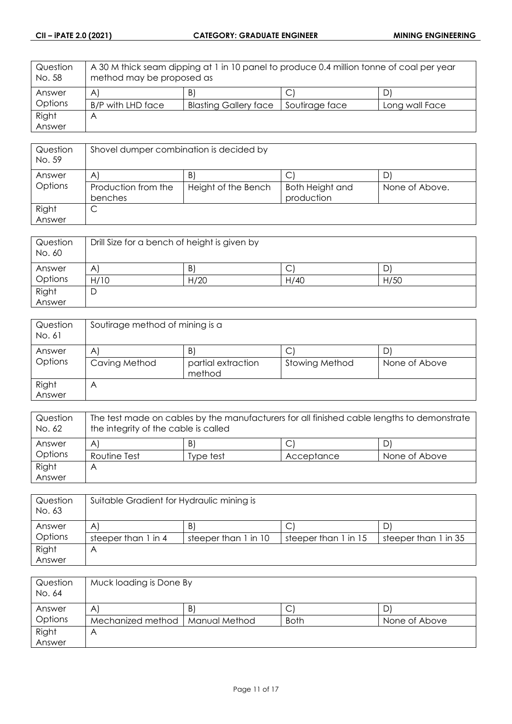| Question<br>No. 58 | A 30 M thick seam dipping at 1 in 10 panel to produce 0.4 million tonne of coal per year<br>method may be proposed as |                              |                |                |
|--------------------|-----------------------------------------------------------------------------------------------------------------------|------------------------------|----------------|----------------|
| Answer             | $\mathsf{A}$                                                                                                          | B)                           | ◡              |                |
| Options            | B/P with LHD face                                                                                                     | <b>Blasting Gallery face</b> | Soutirage face | Long wall Face |
| Right              | A                                                                                                                     |                              |                |                |
| Answer             |                                                                                                                       |                              |                |                |

| Question<br>No. 59 | Shovel dumper combination is decided by |                     |                               |                |
|--------------------|-----------------------------------------|---------------------|-------------------------------|----------------|
| Answer             | A                                       | B                   |                               |                |
| Options            | Production from the<br>benches          | Height of the Bench | Both Height and<br>production | None of Above. |
| Right              |                                         |                     |                               |                |
| Answer             |                                         |                     |                               |                |

| Question<br>No. 60 | Drill Size for a bench of height is given by |                 |      |      |
|--------------------|----------------------------------------------|-----------------|------|------|
| Answer             | A                                            | $\vert B \vert$ | ◡    | D    |
| Options            | H/10                                         | H/20            | H/40 | H/50 |
| Right              | ◡                                            |                 |      |      |
| Answer             |                                              |                 |      |      |

| Question<br>No. 61 | Soutirage method of mining is a |                                    |                            |                     |
|--------------------|---------------------------------|------------------------------------|----------------------------|---------------------|
| Answer<br>Options  | A<br>Caving Method              | B)<br>partial extraction<br>method | С<br><b>Stowing Method</b> | 'ט<br>None of Above |
| Right<br>Answer    | Α                               |                                    |                            |                     |

| Question<br>No. 62 | The test made on cables by the manufacturers for all finished cable lengths to demonstrate<br>the integrity of the cable is called |           |            |               |
|--------------------|------------------------------------------------------------------------------------------------------------------------------------|-----------|------------|---------------|
| Answer             | A                                                                                                                                  | B)        | C          |               |
| Options            | Routine Test                                                                                                                       | Type test | Acceptance | None of Above |
| Right              | Α                                                                                                                                  |           |            |               |
| Answer             |                                                                                                                                    |           |            |               |

| Question<br>No. 63 | Suitable Gradient for Hydraulic mining is |                      |                      |                      |
|--------------------|-------------------------------------------|----------------------|----------------------|----------------------|
| Answer             | A                                         | B                    |                      |                      |
| Options            | steeper than 1 in 4                       | steeper than 1 in 10 | steeper than 1 in 15 | steeper than 1 in 35 |
| Right              | Α                                         |                      |                      |                      |
| Answer             |                                           |                      |                      |                      |

| Question<br>No. 64 | Muck loading is Done By |                 |             |               |
|--------------------|-------------------------|-----------------|-------------|---------------|
| Answer             | A                       | B)              | C           |               |
| Options            | Mechanized method       | l Manual Method | <b>Both</b> | None of Above |
| Right              | Α                       |                 |             |               |
| Answer             |                         |                 |             |               |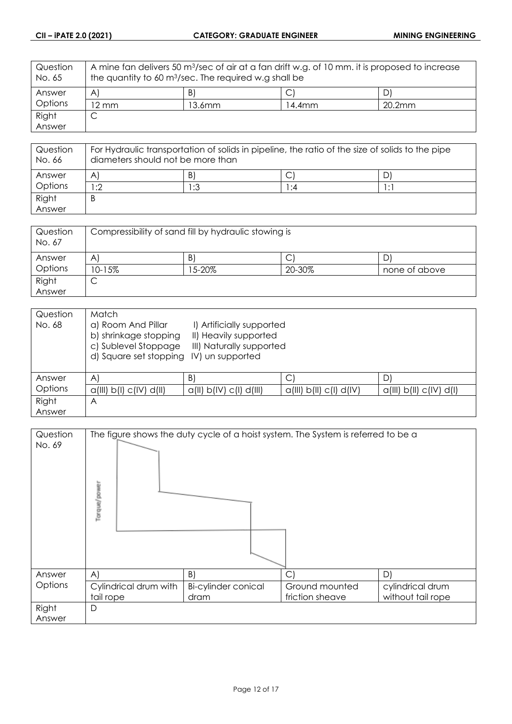| Question<br>No. 65 | A mine fan delivers 50 m <sup>3</sup> /sec of air at a fan drift w.g. of 10 mm. it is proposed to increase<br>the quantity to 60 m <sup>3</sup> /sec. The required w.g shall be |        |        |        |
|--------------------|---------------------------------------------------------------------------------------------------------------------------------------------------------------------------------|--------|--------|--------|
| Answer             | $\mathsf{A}$                                                                                                                                                                    | B)     | U      |        |
| Options            | 12 mm                                                                                                                                                                           | 13.6mm | 14.4mm | 20.2mm |
| Right              | С                                                                                                                                                                               |        |        |        |
| Answer             |                                                                                                                                                                                 |        |        |        |

| Question<br>No. 66 | For Hydraulic transportation of solids in pipeline, the ratio of the size of solids to the pipe<br>diameters should not be more than |    |     |   |
|--------------------|--------------------------------------------------------------------------------------------------------------------------------------|----|-----|---|
| Answer             | A                                                                                                                                    | B) |     |   |
| Options            | :2                                                                                                                                   | :3 | ∣:4 | Ħ |
| Right              | B                                                                                                                                    |    |     |   |
| Answer             |                                                                                                                                      |    |     |   |

| Question<br>No. 67 | Compressibility of sand fill by hydraulic stowing is |        |        |               |
|--------------------|------------------------------------------------------|--------|--------|---------------|
| Answer             | A                                                    | B      | ◡      |               |
| Options            | 10-15%                                               | 15-20% | 20-30% | none of above |
| Right              | ◡                                                    |        |        |               |
| Answer             |                                                      |        |        |               |

| Question | Match                                            |                           |                          |                          |
|----------|--------------------------------------------------|---------------------------|--------------------------|--------------------------|
| No. 68   | a) Room And Pillar                               | I) Artificially supported |                          |                          |
|          | b) shrinkage stopping                            | II) Heavily supported     |                          |                          |
|          | c) Sublevel Stoppage<br>III) Naturally supported |                           |                          |                          |
|          | d) Square set stopping                           | IV) un supported          |                          |                          |
|          |                                                  |                           |                          |                          |
| Answer   | $\mathsf{A}$                                     | $\vert B \vert$           | C                        | D)                       |
| Options  | q(III) b(II) c(IV) d(III)                        | q(II) b(IV) c(II) d(III)  | q(III) b(II) c(II) d(IV) | q(III) b(II) c(IV) d(II) |
| Right    | A                                                |                           |                          |                          |
| Answer   |                                                  |                           |                          |                          |

| Question        | The figure shows the duty cycle of a hoist system. The System is referred to be a |                     |                 |                   |  |
|-----------------|-----------------------------------------------------------------------------------|---------------------|-----------------|-------------------|--|
| No. 69          | Torquey                                                                           |                     |                 |                   |  |
| Answer          | $\mathsf{A}$                                                                      | B)                  | C)              | D)                |  |
| Options         | Cylindrical drum with                                                             | Bi-cylinder conical | Ground mounted  | cylindrical drum  |  |
|                 | tail rope                                                                         | dram                | friction sheave | without tail rope |  |
| Right<br>Answer | D                                                                                 |                     |                 |                   |  |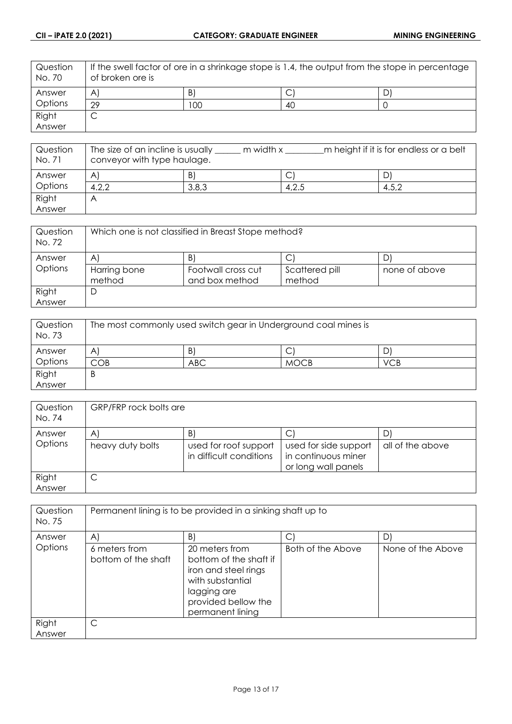| Question<br>No. 70 | If the swell factor of ore in a shrinkage stope is 1.4, the output from the stope in percentage<br>of broken ore is |     |    |   |
|--------------------|---------------------------------------------------------------------------------------------------------------------|-----|----|---|
| Answer             | $\mathsf{A}$                                                                                                        | B   |    | D |
| Options            | 29                                                                                                                  | 100 | 40 |   |
| Right              | ⌒<br>◡                                                                                                              |     |    |   |
| Answer             |                                                                                                                     |     |    |   |

| Question<br>No. 71 | The size of an incline is usually<br>conveyor with type haulage. | m width x |       | m height if it is for endless or a belt |
|--------------------|------------------------------------------------------------------|-----------|-------|-----------------------------------------|
| Answer             | A                                                                | B         | ◡     |                                         |
| Options            | 4.2,2                                                            | 3.8,3     | 4,2.5 | 4.5,2                                   |
| Right              | A                                                                |           |       |                                         |
| Answer             |                                                                  |           |       |                                         |

| Question<br>No. 72 | Which one is not classified in Breast Stope method? |                    |                |               |
|--------------------|-----------------------------------------------------|--------------------|----------------|---------------|
| Answer             | $\mathsf{A}^{\prime}$                               | B)                 |                |               |
| Options            | Harring bone                                        | Footwall cross cut | Scattered pill | none of above |
|                    | method                                              | and box method     | method         |               |
| Right              | D                                                   |                    |                |               |
| Answer             |                                                     |                    |                |               |

| Question<br>No. 73 | The most commonly used switch gear in Underground coal mines is |            |             |            |
|--------------------|-----------------------------------------------------------------|------------|-------------|------------|
| Answer             | A                                                               | B          | ◡           |            |
| Options            | COB                                                             | <b>ABC</b> | <b>MOCB</b> | <b>VCB</b> |
| Right              | B                                                               |            |             |            |
| Answer             |                                                                 |            |             |            |

| Question<br>No. 74 | GRP/FRP rock bolts are |                                                  |                                                                     |                  |
|--------------------|------------------------|--------------------------------------------------|---------------------------------------------------------------------|------------------|
| Answer             | A                      | B                                                |                                                                     | D                |
| Options            | heavy duty bolts       | used for roof support<br>in difficult conditions | used for side support<br>in continuous miner<br>or long wall panels | all of the above |
| Right<br>Answer    | ◡                      |                                                  |                                                                     |                  |

| Question<br>No. 75 | Permanent lining is to be provided in a sinking shaft up to |                                                                                                                                                |                   |                   |
|--------------------|-------------------------------------------------------------|------------------------------------------------------------------------------------------------------------------------------------------------|-------------------|-------------------|
| Answer             | A                                                           | $\vert B \vert$                                                                                                                                | С                 | D)                |
| Options            | 6 meters from<br>bottom of the shaft                        | 20 meters from<br>bottom of the shaft if<br>iron and steel rings<br>with substantial<br>lagging are<br>provided bellow the<br>permanent lining | Both of the Above | None of the Above |
| Right<br>Answer    | C                                                           |                                                                                                                                                |                   |                   |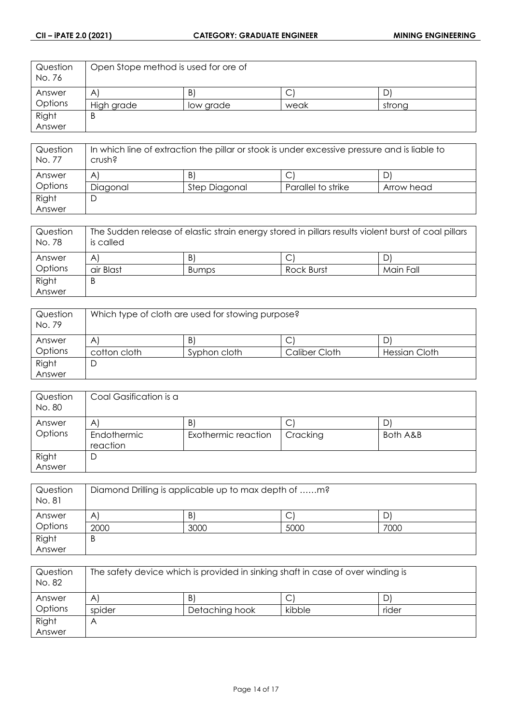| Question<br>No. 76 | Open Stope method is used for ore of |           |      |        |
|--------------------|--------------------------------------|-----------|------|--------|
| Answer             | $\mathsf{A}^{\mathsf{c}}$            | B)        | ◡    | D'     |
| Options            | High grade                           | low grade | weak | strong |
| Right              | Β                                    |           |      |        |
| Answer             |                                      |           |      |        |

| Question<br>No. 77 | In which line of extraction the pillar or stook is under excessive pressure and is liable to<br>crush? |               |                    |            |
|--------------------|--------------------------------------------------------------------------------------------------------|---------------|--------------------|------------|
| Answer             | A                                                                                                      | B             |                    | D          |
| Options            | Diagonal                                                                                               | Step Diagonal | Parallel to strike | Arrow head |
| Right              | ┕                                                                                                      |               |                    |            |
| Answer             |                                                                                                        |               |                    |            |

| Question<br>No. 78 | The Sudden release of elastic strain energy stored in pillars results violent burst of coal pillars<br>is called |              |            |           |
|--------------------|------------------------------------------------------------------------------------------------------------------|--------------|------------|-----------|
| Answer             | A                                                                                                                | B)           |            |           |
| Options            | air Blast                                                                                                        | <b>Bumps</b> | Rock Burst | Main Fall |
| Right              | В                                                                                                                |              |            |           |
| Answer             |                                                                                                                  |              |            |           |

| Question<br>No. 79 | Which type of cloth are used for stowing purpose? |              |               |                      |
|--------------------|---------------------------------------------------|--------------|---------------|----------------------|
| Answer             | A                                                 | B)           | ◡             |                      |
| Options            | cotton cloth                                      | Syphon cloth | Caliber Cloth | <b>Hessian Cloth</b> |
| Right              | ◡                                                 |              |               |                      |
| Answer             |                                                   |              |               |                      |

| Question<br>No. 80 | Coal Gasification is a                  |                                               |               |               |
|--------------------|-----------------------------------------|-----------------------------------------------|---------------|---------------|
| Answer<br>Options  | $\mathsf{A}$<br>Endothermic<br>reaction | $\vert B \vert$<br><b>Exothermic reaction</b> | C<br>Cracking | D<br>Both A&B |
| Right<br>Answer    | D                                       |                                               |               |               |

| Question<br>No. 81 | Diamond Drilling is applicable up to max depth of m? |      |      |      |
|--------------------|------------------------------------------------------|------|------|------|
| Answer             | A                                                    | B    |      | D    |
| Options            | 2000                                                 | 3000 | 5000 | 7000 |
| Right              | Β                                                    |      |      |      |
| Answer             |                                                      |      |      |      |

| Question<br>No. 82 | The safety device which is provided in sinking shaft in case of over winding is |                |        |       |
|--------------------|---------------------------------------------------------------------------------|----------------|--------|-------|
| Answer             | A                                                                               | B              | C      |       |
| Options            | spider                                                                          | Detaching hook | kibble | rider |
| Right              |                                                                                 |                |        |       |
| Answer             |                                                                                 |                |        |       |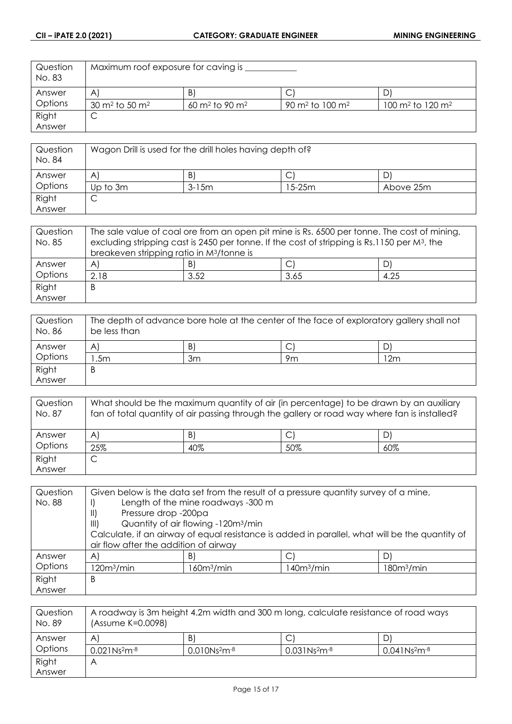| Question<br>No. 83 | Maximum roof exposure for caving is   |                                       |                                         |                                          |
|--------------------|---------------------------------------|---------------------------------------|-----------------------------------------|------------------------------------------|
| Answer             | $\mathsf{A}$                          | B.                                    | ب                                       |                                          |
| Options            | $30 \text{ m}^2$ to 50 m <sup>2</sup> | $60 \text{ m}^2$ to 90 m <sup>2</sup> | 90 m <sup>2</sup> to 100 m <sup>2</sup> | 100 m <sup>2</sup> to 120 m <sup>2</sup> |
| Right              | ◡                                     |                                       |                                         |                                          |
| Answer             |                                       |                                       |                                         |                                          |

| Question<br>No. 84 | Wagon Drill is used for the drill holes having depth of? |         |        |           |
|--------------------|----------------------------------------------------------|---------|--------|-----------|
| Answer             | A                                                        | B       | C      |           |
| Options            | Up to 3m                                                 | $3-15m$ | 15-25m | Above 25m |
| Right              | ◡                                                        |         |        |           |
| Answer             |                                                          |         |        |           |

| Question | The sale value of coal ore from an open pit mine is Rs. 6500 per tonne. The cost of mining,              |      |      |      |
|----------|----------------------------------------------------------------------------------------------------------|------|------|------|
| No. 85   | excluding stripping cast is 2450 per tonne. If the cost of stripping is Rs.1150 per M <sup>3</sup> , the |      |      |      |
|          | breakeven stripping ratio in M <sup>3</sup> /tonne is                                                    |      |      |      |
| Answer   | A                                                                                                        | B)   | C    | D.   |
| Options  | 2.18                                                                                                     | 3.52 | 3.65 | 4.25 |
| Right    | Β                                                                                                        |      |      |      |
| Answer   |                                                                                                          |      |      |      |

| Question<br>No. 86 | The depth of advance bore hole at the center of the face of exploratory gallery shall not<br>be less than |    |    |     |
|--------------------|-----------------------------------------------------------------------------------------------------------|----|----|-----|
| Answer             | $\mathsf{A}^{\prime}$                                                                                     | B  | ◡  |     |
| Options            | .5m                                                                                                       | Зm | 9m | 12m |
| Right              | B                                                                                                         |    |    |     |
| Answer             |                                                                                                           |    |    |     |

| Question<br>No. 87 | What should be the maximum quantity of air (in percentage) to be drawn by an auxiliary<br>fan of total quantity of air passing through the gallery or road way where fan is installed? |     |     |     |
|--------------------|----------------------------------------------------------------------------------------------------------------------------------------------------------------------------------------|-----|-----|-----|
| Answer             | $\mathsf{A}$                                                                                                                                                                           | B)  | C   |     |
| Options            | 25%                                                                                                                                                                                    | 40% | 50% | 60% |
| Right              | ٮ                                                                                                                                                                                      |     |     |     |
| Answer             |                                                                                                                                                                                        |     |     |     |

| Question | Given below is the data set from the result of a pressure quantity survey of a mine,           |                        |           |                        |
|----------|------------------------------------------------------------------------------------------------|------------------------|-----------|------------------------|
| No. 88   | Length of the mine roadways -300 m                                                             |                        |           |                        |
|          | Pressure drop -200pa<br>$\parallel$                                                            |                        |           |                        |
|          | Quantity of air flowing -120m <sup>3</sup> /min<br>$\parallel$                                 |                        |           |                        |
|          | Calculate, if an airway of equal resistance is added in parallel, what will be the quantity of |                        |           |                        |
|          | air flow after the addition of airway                                                          |                        |           |                        |
| Answer   | $\mathsf{A}$                                                                                   | $\vert B \vert$        | С         | D.                     |
| Options  | 20m <sup>3</sup> /min                                                                          | 160m <sup>3</sup> /min | 140m3/min | 180m <sup>3</sup> /min |
| Right    | B                                                                                              |                        |           |                        |
| Answer   |                                                                                                |                        |           |                        |

| Question<br>No. 89 | A roadway is 3m height 4.2m width and 300 m long, calculate resistance of road ways<br>(Assume K=0.0098) |                                         |                                         |                                         |
|--------------------|----------------------------------------------------------------------------------------------------------|-----------------------------------------|-----------------------------------------|-----------------------------------------|
| Answer             | A                                                                                                        | B)                                      |                                         |                                         |
| Options            | $0.021$ Ns <sup>2</sup> m <sup>-8</sup>                                                                  | $0.010$ Ns <sup>2</sup> m <sup>-8</sup> | $0.031$ Ns <sup>2</sup> m <sup>-8</sup> | $0.041$ Ns <sup>2</sup> m <sup>-8</sup> |
| Right              | Α                                                                                                        |                                         |                                         |                                         |
| Answer             |                                                                                                          |                                         |                                         |                                         |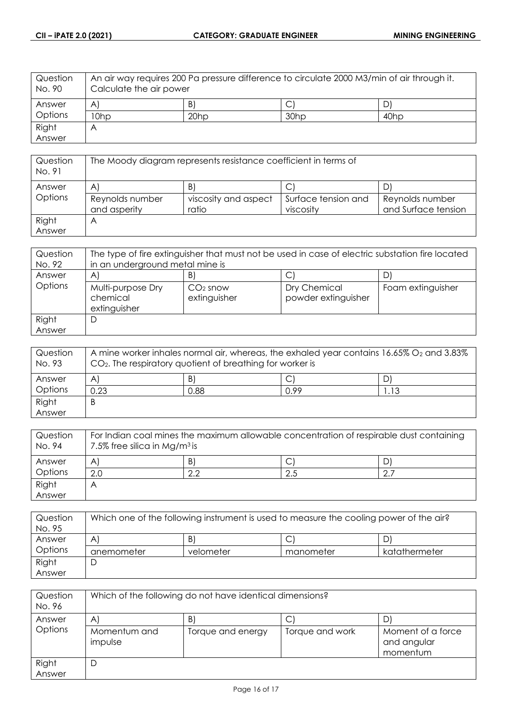| Question<br>No. 90 | An air way requires 200 Pa pressure difference to circulate 2000 M3/min of air through it.<br>Calculate the air power |      |      |      |
|--------------------|-----------------------------------------------------------------------------------------------------------------------|------|------|------|
| Answer             | A                                                                                                                     | B    | Ć    |      |
| Options            | 10hp                                                                                                                  | 20hp | 30hp | 40hp |
| Right              | Α                                                                                                                     |      |      |      |
| Answer             |                                                                                                                       |      |      |      |

| Question<br>No. 91 | The Moody diagram represents resistance coefficient in terms of |                      |                     |                     |
|--------------------|-----------------------------------------------------------------|----------------------|---------------------|---------------------|
| Answer             | A                                                               | B)                   | C                   | D                   |
| Options            | Reynolds number                                                 | viscosity and aspect | Surface tension and | Reynolds number     |
|                    | and asperity                                                    | ratio                | viscosity           | and Surface tension |
| Right              | А                                                               |                      |                     |                     |
| Answer             |                                                                 |                      |                     |                     |

| Question<br>No. 92 | The type of fire extinguisher that must not be used in case of electric substation fire located<br>in an underground metal mine is |                            |                                     |                   |
|--------------------|------------------------------------------------------------------------------------------------------------------------------------|----------------------------|-------------------------------------|-------------------|
| Answer             | C<br>B<br>A                                                                                                                        |                            |                                     |                   |
| Options            | Multi-purpose Dry<br>chemical<br>extinguisher                                                                                      | $CO2$ snow<br>extinguisher | Dry Chemical<br>powder extinguisher | Foam extinguisher |
| Right              | D                                                                                                                                  |                            |                                     |                   |
| Answer             |                                                                                                                                    |                            |                                     |                   |

| Question<br>No. 93 | A mine worker inhales normal air, whereas, the exhaled year contains 16.65% O <sub>2</sub> and 3.83%<br>CO <sub>2</sub> . The respiratory quotient of breathing for worker is |      |      |     |
|--------------------|-------------------------------------------------------------------------------------------------------------------------------------------------------------------------------|------|------|-----|
| Answer             | A                                                                                                                                                                             | B)   |      |     |
| Options            | 0.23                                                                                                                                                                          | 0.88 | 0.99 | .13 |
| Right              | Β                                                                                                                                                                             |      |      |     |
| Answer             |                                                                                                                                                                               |      |      |     |

| Question<br>No. 94 | For Indian coal mines the maximum allowable concentration of respirable dust containing<br>7.5% free silica in $Mg/m3$ is |     |     |  |
|--------------------|---------------------------------------------------------------------------------------------------------------------------|-----|-----|--|
| Answer             | A                                                                                                                         | B)  |     |  |
| Options            | 2.0                                                                                                                       | 2.2 | 2.5 |  |
| Right              |                                                                                                                           |     |     |  |
| Answer             |                                                                                                                           |     |     |  |

| Question<br>No. 95 | Which one of the following instrument is used to measure the cooling power of the air? |           |           |               |
|--------------------|----------------------------------------------------------------------------------------|-----------|-----------|---------------|
| Answer             | Α                                                                                      | B         | ◡         |               |
| Options            | anemometer                                                                             | velometer | manometer | katathermeter |
| Right              | ┕                                                                                      |           |           |               |
| Answer             |                                                                                        |           |           |               |

| Question<br>No. 96 | Which of the following do not have identical dimensions? |                   |                 |                                              |
|--------------------|----------------------------------------------------------|-------------------|-----------------|----------------------------------------------|
| Answer             | A                                                        | $\vert B \vert$   | C               |                                              |
| Options            | Momentum and<br>impulse                                  | Torque and energy | Torque and work | Moment of a force<br>and angular<br>momentum |
| Right<br>Answer    | D                                                        |                   |                 |                                              |